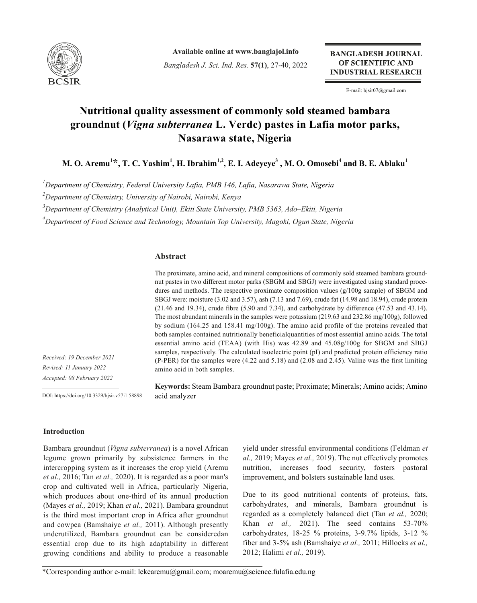

**Available online at www.banglajol.info** *Bangladesh J. Sci. Ind. Res.* **57(1)**, 27-40, 2022

**BANGLADESH JOURNAL** OF SCIENTIFIC AND **INDUSTRIAL RESEARCH** 

E-mail: bjsir07@gmail.com

# **Nutritional quality assessment of commonly sold steamed bambara groundnut (***Vigna subterranea* **L. Verdc) pastes in Lafia motor parks, Nasarawa state, Nigeria**

 $\mathbf{M.~O.~Aremu}^{1\star}, \mathbf{T.~C.~Yashim}^{1}, \mathbf{H.~Ibrahim}^{1,2}, \mathbf{E.~I.~Adeyeye}^{3}, \mathbf{M.~O.~Omosebi}^{4}$  and  $\mathbf{B.~E.~Ablaku}^{1,2}$ 

*1 Department of Chemistry, Federal University Lafia, PMB 146, Lafia, Nasarawa State, Nigeria*

*2 Department of Chemistry, University of Nairobi, Nairobi, Kenya*

*3 Department of Chemistry (Analytical Unit), Ekiti State University, PMB 5363, Ado–Ekiti, Nigeria*

*4 Department of Food Science and Technology, Mountain Top University, Magoki, Ogun State, Nigeria*

#### **Abstract**

The proximate, amino acid, and mineral compositions of commonly sold steamed bambara groundnut pastes in two different motor parks (SBGM and SBGJ) were investigated using standard procedures and methods. The respective proximate composition values  $(g/100g \text{ sample})$  of SBGM and SBGJ were: moisture (3.02 and 3.57), ash (7.13 and 7.69), crude fat (14.98 and 18.94), crude protein (21.46 and 19.34), crude fibre (5.90 and 7.34), and carbohydrate by difference (47.53 and 43.14). The most abundant minerals in the samples were potassium (219.63 and 232.86 mg/100g), followed by sodium (164.25 and 158.41 mg/100g). The amino acid profile of the proteins revealed that both samples contained nutritionally beneficialquantities of most essential amino acids. The total essential amino acid (TEAA) (with His) was 42.89 and 45.08g/100g for SBGM and SBGJ samples, respectively. The calculated isoelectric point (pI) and predicted protein efficiency ratio (P-PER) for the samples were (4.22 and 5.18) and (2.08 and 2.45). Valine was the first limiting amino acid in both samples.

*Received: 19 December 2021 Revised: 11 January 2022 Accepted: 08 February 2022*

DOI: https://doi.org/10.3329/bjsir.v57i1.58898

**Keywords:** Steam Bambara groundnut paste; Proximate; Minerals; Amino acids; Amino acid analyzer

#### **Introduction**

Bambara groundnut (*Vigna subterranea*) is a novel African legume grown primarily by subsistence farmers in the intercropping system as it increases the crop yield (Aremu *et al.,* 2016; Tan *et al.,* 2020). It is regarded as a poor man's crop and cultivated well in Africa, particularly Nigeria, which produces about one-third of its annual production (Mayes *et al.,* 2019; Khan *et al.,* 2021). Bambara groundnut is the third most important crop in Africa after groundnut and cowpea (Bamshaiye *et al.,* 2011). Although presently underutilized, Bambara groundnut can be consideredan essential crop due to its high adaptability in different growing conditions and ability to produce a reasonable

yield under stressful environmental conditions (Feldman *et al.,* 2019; Mayes *et al.,* 2019). The nut effectively promotes nutrition, increases food security, fosters pastoral improvement, and bolsters sustainable land uses.

Due to its good nutritional contents of proteins, fats, carbohydrates, and minerals, Bambara groundnut is regarded as a completely balanced diet (Tan *et al.,* 2020; Khan *et al.,* 2021). The seed contains 53-70% carbohydrates, 18-25 % proteins, 3-9.7% lipids, 3-12 % fiber and 3-5% ash (Bamshaiye *et al.,* 2011; Hillocks *et al.,* 2012; Halimi *et al.,* 2019).

<sup>\*</sup>Corresponding author e-mail: lekearemu@gmail.com; moaremu@science.fulafia.edu.ng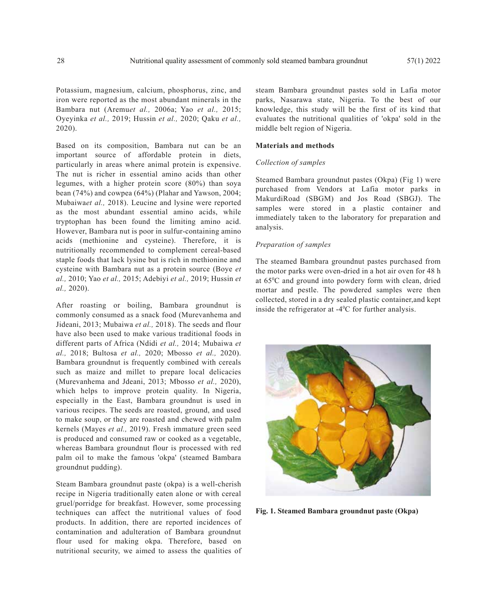Potassium, magnesium, calcium, phosphorus, zinc, and iron were reported as the most abundant minerals in the Bambara nut (Aremu*et al.,* 2006a; Yao *et al.,* 2015; Oyeyinka *et al.,* 2019; Hussin *et al.,* 2020; Qaku *et al.,* 2020).

Based on its composition, Bambara nut can be an important source of affordable protein in diets, particularly in areas where animal protein is expensive. The nut is richer in essential amino acids than other legumes, with a higher protein score (80%) than soya bean (74%) and cowpea (64%) (Plahar and Yawson, 2004; Mubaiwa*et al.,* 2018). Leucine and lysine were reported as the most abundant essential amino acids, while tryptophan has been found the limiting amino acid. However, Bambara nut is poor in sulfur-containing amino acids (methionine and cysteine). Therefore, it is nutritionally recommended to complement cereal-based staple foods that lack lysine but is rich in methionine and cysteine with Bambara nut as a protein source (Boye *et al.,* 2010; Yao *et al.,* 2015; Adebiyi *et al.,* 2019; Hussin *et al.,* 2020).

After roasting or boiling, Bambara groundnut is commonly consumed as a snack food (Murevanhema and Jideani, 2013; Mubaiwa *et al.,* 2018). The seeds and flour have also been used to make various traditional foods in different parts of Africa (Ndidi *et al.,* 2014; Mubaiwa *et al.,* 2018; Bultosa *et al.,* 2020; Mbosso *et al.,* 2020). Bambara groundnut is frequently combined with cereals such as maize and millet to prepare local delicacies (Murevanhema and Jdeani, 2013; Mbosso *et al.,* 2020), which helps to improve protein quality. In Nigeria, especially in the East, Bambara groundnut is used in various recipes. The seeds are roasted, ground, and used to make soup, or they are roasted and chewed with palm kernels (Mayes *et al.,* 2019). Fresh immature green seed is produced and consumed raw or cooked as a vegetable, whereas Bambara groundnut flour is processed with red palm oil to make the famous 'okpa' (steamed Bambara groundnut pudding).

Steam Bambara groundnut paste (okpa) is a well-cherish recipe in Nigeria traditionally eaten alone or with cereal gruel/porridge for breakfast. However, some processing techniques can affect the nutritional values of food products. In addition, there are reported incidences of contamination and adulteration of Bambara groundnut flour used for making okpa. Therefore, based on nutritional security, we aimed to assess the qualities of

steam Bambara groundnut pastes sold in Lafia motor parks, Nasarawa state, Nigeria. To the best of our knowledge, this study will be the first of its kind that evaluates the nutritional qualities of 'okpa' sold in the middle belt region of Nigeria.

#### **Materials and methods**

#### *Collection of samples*

Steamed Bambara groundnut pastes (Okpa) (Fig 1) were purchased from Vendors at Lafia motor parks in MakurdiRoad (SBGM) and Jos Road (SBGJ). The samples were stored in a plastic container and immediately taken to the laboratory for preparation and analysis.

## *Preparation of samples*

The steamed Bambara groundnut pastes purchased from the motor parks were oven-dried in a hot air oven for 48 h at 65°C and ground into powdery form with clean, dried mortar and pestle. The powdered samples were then collected, stored in a dry sealed plastic container,and kept inside the refrigerator at  $-4^{\circ}$ C for further analysis.



**Fig. 1. Steamed Bambara groundnut paste (Okpa)**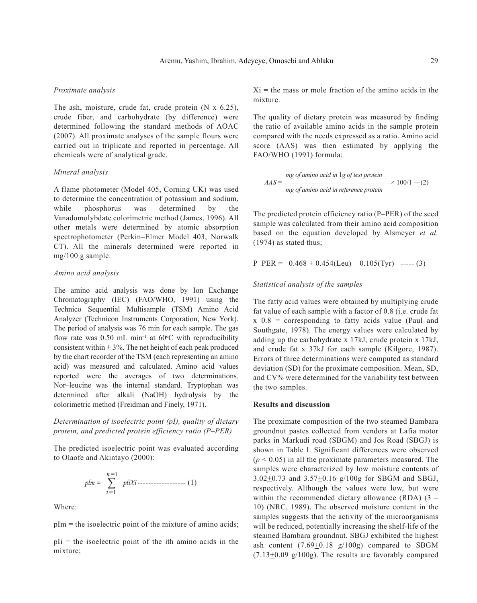## *Proximate analysis*

The ash, moisture, crude fat, crude protein  $(N \times 6.25)$ , crude fiber, and carbohydrate (by difference) were determined following the standard methods of AOAC (2007). All proximate analyses of the sample flours were carried out in triplicate and reported in percentage. All chemicals were of analytical grade.

## *Mineral analysis*

A flame photometer (Model 405, Corning UK) was used to determine the concentration of potassium and sodium, while phosphorus was determined by the Vanadomolybdate colorimetric method (James, 1996). All other metals were determined by atomic absorption spectrophotometer (Perkin–Elmer Model 403, Norwalk CT). All the minerals determined were reported in mg/100 g sample.

#### *Amino acid analysis*

The amino acid analysis was done by Ion Exchange Chromatography (IEC) (FAO/WHO, 1991) using the Technico Sequential Multisample (TSM) Amino Acid Analyzer (Technicon Instruments Corporation, New York). The period of analysis was 76 min for each sample. The gas flow rate was  $0.50$  mL min<sup>-1</sup> at  $60^{\circ}$ C with reproducibility consistent within  $\pm$  3%. The net height of each peak produced by the chart recorder of the TSM (each representing an amino acid) was measured and calculated. Amino acid values reported were the averages of two determinations. Nor–leucine was the internal standard. Tryptophan was determined after alkali (NaOH) hydrolysis by the colorimetric method (Freidman and Finely, 1971).

# *Determination of isoelectric point (pI), quality of dietary protein, and predicted protein efficiency ratio (P–PER)*

The predicted isoelectric point was evaluated according to Olaofe and Akintayo (2000):

$$
p\ell m = \sum_{i=1}^{n=1} p\ell i X_i \cdots \cdots \cdots \cdots \cdots \cdots (1)
$$

Where:

pIm **=** the isoelectric point of the mixture of amino acids;

 $pIi =$  the isoelectric point of the ith amino acids in the mixture;

Xi **=** the mass or mole fraction of the amino acids in the mixture.

The quality of dietary protein was measured by finding the ratio of available amino acids in the sample protein compared with the needs expressed as a ratio. Amino acid score (AAS) was then estimated by applying the FAO/WHO (1991) formula:

$$
AAS = \frac{mg \ of \ amino \ acid \ in \ 1g \ of \ test \ protein}{mg \ of \ amino \ acid \ in \ reference \ protein} \times 100/1 ---(2)
$$

The predicted protein efficiency ratio (P–PER) of the seed sample was calculated from their amino acid composition based on the equation developed by Alsmeyer *et al.*  (1974) as stated thus;

 $P-PER = -0.468 + 0.454(Leu) - 0.105(Tyr)$  ----- (3)

# *Statistical analysis of the samples*

The fatty acid values were obtained by multiplying crude fat value of each sample with a factor of 0.8 (i.e. crude fat  $x \ 0.8$  = corresponding to fatty acids value (Paul and Southgate, 1978). The energy values were calculated by adding up the carbohydrate x 17kJ, crude protein x 17kJ, and crude fat x 37kJ for each sample (Kilgore, 1987). Errors of three determinations were computed as standard deviation (SD) for the proximate composition. Mean, SD, and CV% were determined for the variability test between the two samples.

#### **Results and discussion**

The proximate composition of the two steamed Bambara groundnut pastes collected from vendors at Lafia motor parks in Markudi road (SBGM) and Jos Road (SBGJ) is shown in Table I. Significant differences were observed  $(p < 0.05)$  in all the proximate parameters measured. The samples were characterized by low moisture contents of 3.02 $\pm$ 0.73 and 3.57 $\pm$ 0.16 g/100g for SBGM and SBGJ, respectively. Although the values were low, but were within the recommended dietary allowance (RDA)  $(3 -$ 10) (NRC, 1989). The observed moisture content in the samples suggests that the activity of the microorganisms will be reduced, potentially increasing the shelf-life of the steamed Bambara groundnut. SBGJ exhibited the highest ash content  $(7.69+0.18 \text{ g}/100 \text{g})$  compared to SBGM  $(7.13+0.09 \text{ g}/100 \text{ g})$ . The results are favorably compared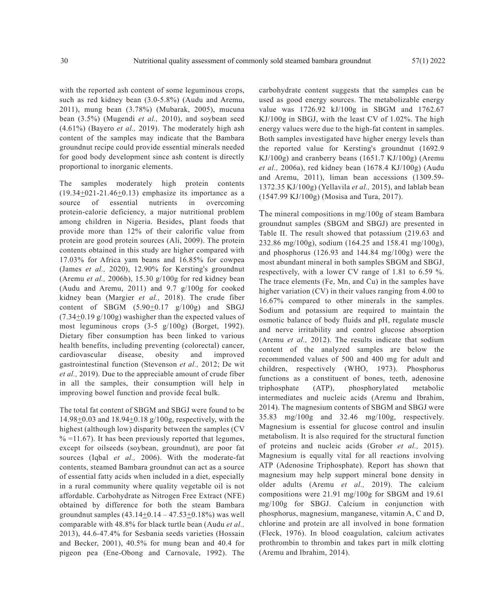with the reported ash content of some leguminous crops, such as red kidney bean (3.0-5.8%) (Audu and Aremu, 2011), mung bean (3.78%) (Mubarak, 2005), mucuna bean (3.5%) (Mugendi *et al.,* 2010), and soybean seed (4.61%) (Bayero *et al.,* 2019). The moderately high ash content of the samples may indicate that the Bambara groundnut recipe could provide essential minerals needed for good body development since ash content is directly proportional to inorganic elements.

The samples moderately high protein contents  $(19.34\pm0.21-21.46\pm0.13)$  emphasize its importance as a source of essential nutrients in overcoming protein-calorie deficiency, a major nutritional problem among children in Nigeria. Besides, plant foods that provide more than 12% of their calorific value from protein are good protein sources (Ali, 2009). The protein contents obtained in this study are higher compared with 17.03% for Africa yam beans and 16.85% for cowpea (James *et al.,* 2020), 12.90% for Kersting's groundnut (Aremu *et al.,* 2006b), 15.30 g/100g for red kidney bean (Audu and Aremu, 2011) and 9.7 g/100g for cooked kidney bean (Margier *et al.,* 2018). The crude fiber content of SBGM  $(5.90\pm0.17 \text{ g}/100\text{g})$  and SBGJ  $(7.34\pm0.19 \text{ g}/100 \text{ g})$  washigher than the expected values of most leguminous crops (3-5 g/100g) (Borget, 1992). Dietary fiber consumption has been linked to various health benefits, including preventing (colorectal) cancer, cardiovascular disease, obesity and improved gastrointestinal function (Stevenson *et al.,* 2012; De wit *et al.,* 2019). Due to the appreciable amount of crude fiber in all the samples, their consumption will help in improving bowel function and provide fecal bulk.

The total fat content of SBGM and SBGJ were found to be 14.98+0.03 and 18.94+0.18 g/100g, respectively, with the highest (although low) disparity between the samples (CV  $% =11.67$ ). It has been previously reported that legumes, except for oilseeds (soybean, groundnut), are poor fat sources (Iqbal *et al.,* 2006). With the moderate-fat contents, steamed Bambara groundnut can act as a source of essential fatty acids when included in a diet, especially in a rural community where quality vegetable oil is not affordable. Carbohydrate as Nitrogen Free Extract (NFE) obtained by difference for both the steam Bambara groundnut samples  $(43.14 \pm 0.14 - 47.53 \pm 0.18\%)$  was well comparable with 48.8% for black turtle bean (Audu *et al.,* 2013), 44.6-47.4% for Sesbania seeds varieties (Hossain and Becker, 2001), 40.5% for mung bean and 40.4 for pigeon pea (Ene-Obong and Carnovale, 1992). The

carbohydrate content suggests that the samples can be used as good energy sources. The metabolizable energy value was 1726.92 kJ/100g in SBGM and 1762.67 KJ/100g in SBGJ, with the least CV of 1.02%. The high energy values were due to the high-fat content in samples. Both samples investigated have higher energy levels than the reported value for Kersting's groundnut (1692.9 KJ/100g) and cranberry beans (1651.7 KJ/100g) (Aremu *et al.,* 2006a), red kidney bean (1678.4 KJ/100g) (Audu and Aremu, 2011), liman bean accessions (1309.59- 1372.35 KJ/100g) (Yellavila *et al.,* 2015), and lablab bean (1547.99 KJ/100g) (Mosisa and Tura, 2017).

The mineral compositions in mg/100g of steam Bambara groundnut samples (SBGM and SBGJ) are presented in Table II. The result showed that potassium (219.63 and 232.86 mg/100g), sodium (164.25 and 158.41 mg/100g), and phosphorus (126.93 and 144.84 mg/100g) were the most abundant mineral in both samples SBGM and SBGJ, respectively, with a lower CV range of 1.81 to 6.59 %. The trace elements (Fe, Mn, and Cu) in the samples have higher variation (CV) in their values ranging from 4.00 to 16.67% compared to other minerals in the samples. Sodium and potassium are required to maintain the osmotic balance of body fluids and pH, regulate muscle and nerve irritability and control glucose absorption (Aremu *et al.,* 2012). The results indicate that sodium content of the analyzed samples are below the recommended values of 500 and 400 mg for adult and children, respectively (WHO, 1973). Phosphorus functions as a constituent of bones, teeth, adenosine triphosphate (ATP), phosphorylated metabolic intermediates and nucleic acids (Aremu and Ibrahim, 2014). The magnesium contents of SBGM and SBGJ were 35.83 mg/100g and 32.46 mg/100g, respectively. Magnesium is essential for glucose control and insulin metabolism. It is also required for the structural function of proteins and nucleic acids (Grober *et al.,* 2015). Magnesium is equally vital for all reactions involving ATP (Adenosine Triphosphate). Report has shown that magnesium may help support mineral bone density in older adults (Aremu *et al.,* 2019). The calcium compositions were 21.91 mg/100g for SBGM and 19.61 mg/100g for SBGJ. Calcium in conjunction with phosphorus, magnesium, manganese, vitamin A, C and D, chlorine and protein are all involved in bone formation (Fleck, 1976). In blood coagulation, calcium activates prothrombin to thrombin and takes part in milk clotting (Aremu and Ibrahim, 2014).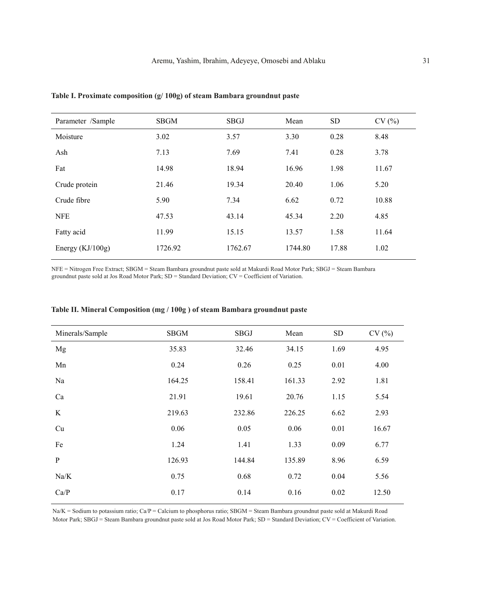| Parameter /Sample  | <b>SBGM</b> | <b>SBGJ</b> | Mean    | <b>SD</b> | CV(%) |
|--------------------|-------------|-------------|---------|-----------|-------|
| Moisture           | 3.02        | 3.57        | 3.30    | 0.28      | 8.48  |
| Ash                | 7.13        | 7.69        | 7.41    | 0.28      | 3.78  |
| Fat                | 14.98       | 18.94       | 16.96   | 1.98      | 11.67 |
| Crude protein      | 21.46       | 19.34       | 20.40   | 1.06      | 5.20  |
| Crude fibre        | 5.90        | 7.34        | 6.62    | 0.72      | 10.88 |
| <b>NFE</b>         | 47.53       | 43.14       | 45.34   | 2.20      | 4.85  |
| Fatty acid         | 11.99       | 15.15       | 13.57   | 1.58      | 11.64 |
| Energy $(KJ/100g)$ | 1726.92     | 1762.67     | 1744.80 | 17.88     | 1.02  |
|                    |             |             |         |           |       |

**Table I. Proximate composition (g/ 100g) of steam Bambara groundnut paste**

NFE = Nitrogen Free Extract; SBGM = Steam Bambara groundnut paste sold at Makurdi Road Motor Park; SBGJ = Steam Bambara groundnut paste sold at Jos Road Motor Park; SD = Standard Deviation; CV = Coefficient of Variation.

| Minerals/Sample | <b>SBGM</b> | SBGJ   | Mean   | SD   | CV(%) |
|-----------------|-------------|--------|--------|------|-------|
| Mg              | 35.83       | 32.46  | 34.15  | 1.69 | 4.95  |
| Mn              | 0.24        | 0.26   | 0.25   | 0.01 | 4.00  |
| Na              | 164.25      | 158.41 | 161.33 | 2.92 | 1.81  |
| Ca              | 21.91       | 19.61  | 20.76  | 1.15 | 5.54  |
| K               | 219.63      | 232.86 | 226.25 | 6.62 | 2.93  |
| Cu              | 0.06        | 0.05   | 0.06   | 0.01 | 16.67 |
| Fe              | 1.24        | 1.41   | 1.33   | 0.09 | 6.77  |
| $\mathbf{P}$    | 126.93      | 144.84 | 135.89 | 8.96 | 6.59  |
| Na/K            | 0.75        | 0.68   | 0.72   | 0.04 | 5.56  |
| Ca/P            | 0.17        | 0.14   | 0.16   | 0.02 | 12.50 |

# **Table II. Mineral Composition (mg / 100g ) of steam Bambara groundnut paste**

Na/K = Sodium to potassium ratio; Ca/P = Calcium to phosphorus ratio; SBGM = Steam Bambara groundnut paste sold at Makurdi Road Motor Park; SBGJ = Steam Bambara groundnut paste sold at Jos Road Motor Park; SD = Standard Deviation; CV = Coefficient of Variation.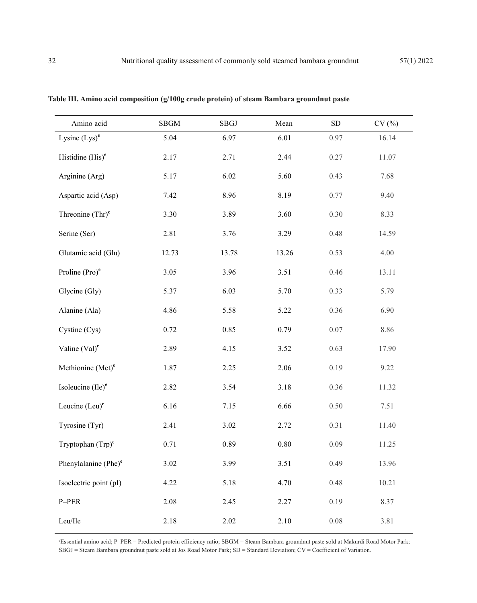| Amino acid                       | ${\rm SBGM}$ | SBGJ  | Mean     | ${\rm SD}$ | CV(%) |
|----------------------------------|--------------|-------|----------|------------|-------|
| Lysine $(Lys)^e$                 | 5.04         | 6.97  | 6.01     | 0.97       | 16.14 |
| Histidine $(His)^e$              | 2.17         | 2.71  | 2.44     | 0.27       | 11.07 |
| Arginine (Arg)                   | 5.17         | 6.02  | 5.60     | 0.43       | 7.68  |
| Aspartic acid (Asp)              | 7.42         | 8.96  | 8.19     | 0.77       | 9.40  |
| Threonine $(Thr)^e$              | 3.30         | 3.89  | 3.60     | 0.30       | 8.33  |
| Serine (Ser)                     | 2.81         | 3.76  | 3.29     | 0.48       | 14.59 |
| Glutamic acid (Glu)              | 12.73        | 13.78 | 13.26    | 0.53       | 4.00  |
| Proline (Pro) <sup>e</sup>       | 3.05         | 3.96  | 3.51     | 0.46       | 13.11 |
| Glycine (Gly)                    | 5.37         | 6.03  | 5.70     | 0.33       | 5.79  |
| Alanine (Ala)                    | 4.86         | 5.58  | 5.22     | 0.36       | 6.90  |
| Cystine (Cys)                    | 0.72         | 0.85  | 0.79     | 0.07       | 8.86  |
| Valine $(Val)^e$                 | 2.89         | 4.15  | 3.52     | 0.63       | 17.90 |
| Methionine (Met) <sup>e</sup>    | 1.87         | 2.25  | 2.06     | 0.19       | 9.22  |
| Isoleucine $(Ile)^e$             | 2.82         | 3.54  | 3.18     | 0.36       | 11.32 |
| Leucine $(Leu)^e$                | 6.16         | 7.15  | 6.66     | 0.50       | 7.51  |
| Tyrosine (Tyr)                   | 2.41         | 3.02  | 2.72     | 0.31       | 11.40 |
| Tryptophan $(Trp)^e$             | 0.71         | 0.89  | $0.80\,$ | 0.09       | 11.25 |
| Phenylalanine (Phe) <sup>e</sup> | 3.02         | 3.99  | 3.51     | 0.49       | 13.96 |
| Isoelectric point (pI)           | 4.22         | 5.18  | 4.70     | 0.48       | 10.21 |
| P-PER                            | 2.08         | 2.45  | 2.27     | 0.19       | 8.37  |
| Leu/Ile                          | 2.18         | 2.02  | 2.10     | $0.08\,$   | 3.81  |

**Table III. Amino acid composition (g/100g crude protein) of steam Bambara groundnut paste** 

e Essential amino acid; P–PER = Predicted protein efficiency ratio; SBGM = Steam Bambara groundnut paste sold at Makurdi Road Motor Park; SBGJ = Steam Bambara groundnut paste sold at Jos Road Motor Park; SD = Standard Deviation; CV = Coefficient of Variation.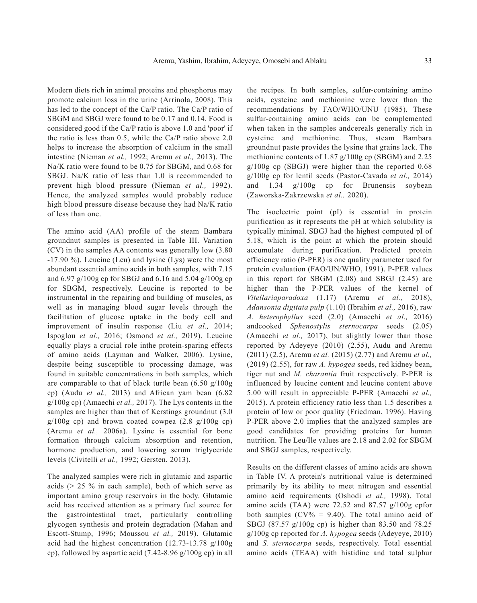Modern diets rich in animal proteins and phosphorus may promote calcium loss in the urine (Arrinola, 2008). This has led to the concept of the Ca/P ratio. The Ca/P ratio of SBGM and SBGJ were found to be 0.17 and 0.14. Food is considered good if the Ca/P ratio is above 1.0 and 'poor' if the ratio is less than 0.5, while the Ca/P ratio above 2.0 helps to increase the absorption of calcium in the small intestine (Nieman *et al.,* 1992; Aremu *et al.,* 2013). The Na/K ratio were found to be 0.75 for SBGM, and 0.68 for SBGJ. Na/K ratio of less than 1.0 is recommended to prevent high blood pressure (Nieman *et al.,* 1992). Hence, the analyzed samples would probably reduce high blood pressure disease because they had Na/K ratio of less than one.

The amino acid (AA) profile of the steam Bambara groundnut samples is presented in Table III. Variation (CV) in the samples AA contents was generally low (3.80 -17.90 %). Leucine (Leu) and lysine (Lys) were the most abundant essential amino acids in both samples, with 7.15 and 6.97 g/100g cp for SBGJ and 6.16 and 5.04 g/100g cp for SBGM, respectively. Leucine is reported to be instrumental in the repairing and building of muscles, as well as in managing blood sugar levels through the facilitation of glucose uptake in the body cell and improvement of insulin response (Liu *et al.,* 2014; Ispoglou *et al.,* 2016; Osmond *et al.,* 2019). Leucine equally plays a crucial role inthe protein-sparing effects of amino acids (Layman and Walker, 2006). Lysine, despite being susceptible to processing damage, was found in suitable concentrations in both samples, which are comparable to that of black turtle bean  $(6.50 \text{ g}/100 \text{g})$ cp) (Audu *et al.,* 2013) and African yam bean (6.82 g/100g cp) (Amaechi *et al.,* 2017). The Lys contents in the samples are higher than that of Kerstings groundnut (3.0)  $g/100g$  cp) and brown coated cowpea  $(2.8 \text{ g}/100g \text{ cp})$ (Aremu *et al.,* 2006a). Lysine is essential for bone formation through calcium absorption and retention, hormone production, and lowering serum triglyceride levels (Civitelli *et al.,* 1992; Gersten, 2013).

The analyzed samples were rich in glutamic and aspartic acids  $($   $>$  25  $\%$  in each sample), both of which serve as important amino group reservoirs in the body. Glutamic acid has received attention as a primary fuel source for the gastrointestinal tract, particularly controlling glycogen synthesis and protein degradation (Mahan and Escott-Stump, 1996; Moussou *et al.,* 2019). Glutamic acid had the highest concentration (12.73-13.78 g/100g cp), followed by aspartic acid (7.42-8.96 g/100g cp) in all

the recipes. In both samples, sulfur-containing amino acids, cysteine and methionine were lower than the recommendations by FAO/WHO/UNU (1985). These sulfur-containing amino acids can be complemented when taken in the samples andcereals generally rich in cysteine and methionine. Thus, steam Bambara groundnut paste provides the lysine that grains lack. The methionine contents of 1.87 g/100g cp (SBGM) and 2.25 g/100g cp (SBGJ) were higher than the reported 0.68 g/100g cp for lentil seeds (Pastor-Cavada *et al.,* 2014) and 1.34 g/100g cp for Brunensis soybean (Zaworska-Zakrzewska *et al.,* 2020).

The isoelectric point (pI) is essential in protein purification as it represents the pH at which solubility is typically minimal. SBGJ had the highest computed pI of 5.18, which is the point at which the protein should accumulate during purification. Predicted protein efficiency ratio (P-PER) is one quality parameter used for protein evaluation (FAO/UN/WHO, 1991). P-PER values in this report for SBGM (2.08) and SBGJ (2.45) are higher than the P-PER values of the kernel of *Vitellariaparadoxa* (1.17) (Aremu *et al.,* 2018), *Adansonia digitata pulp* (1.10) (Ibrahim *et al.,* 2016), raw *A. heterophyllus* seed (2.0) (Amaechi *et al.,* 2016) andcooked *Sphenostylis sternocarpa* seeds (2.05) (Amaechi *et al.,* 2017), but slightly lower than those reported by Adeyeye (2010) (2.55), Audu and Aremu (2011) (2.5), Aremu *et al.* (2015) (2.77) and Aremu *et al.,* (2019) (2.55), for raw *A. hypogea* seeds, red kidney bean, tiger nut and *M. charantia* fruit respectively. P-PER is influenced by leucine content and leucine content above 5.00 will result in appreciable P-PER (Amaechi *et al.,* 2015). A protein efficiency ratio less than 1.5 describes a protein of low or poor quality (Friedman, 1996). Having P-PER above 2.0 implies that the analyzed samples are good candidates for providing proteins for human nutrition. The Leu/Ile values are 2.18 and 2.02 for SBGM and SBGJ samples, respectively.

Results on the different classes of amino acids are shown in Table IV. A protein's nutritional value is determined primarily by its ability to meet nitrogen and essential amino acid requirements (Oshodi *et al.,* 1998). Total amino acids (TAA) were 72.52 and 87.57 g/100g cpfor both samples  $(CV\% = 9.40)$ . The total amino acid of SBGJ (87.57 g/100g cp) is higher than 83.50 and 78.25 g/100g cp reported for *A. hypogea* seeds (Adeyeye, 2010) and *S. sternocarpa* seeds, respectively. Total essential amino acids (TEAA) with histidine and total sulphur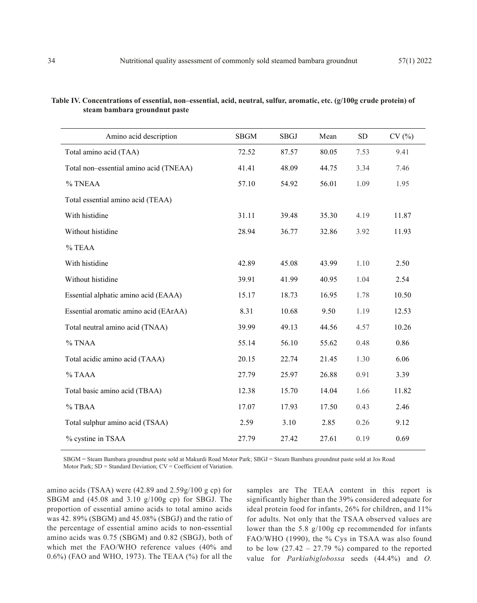| Amino acid description                 | <b>SBGM</b> | <b>SBGJ</b> | Mean  | <b>SD</b> | CV(%) |
|----------------------------------------|-------------|-------------|-------|-----------|-------|
| Total amino acid (TAA)                 | 72.52       | 87.57       | 80.05 | 7.53      | 9.41  |
| Total non-essential amino acid (TNEAA) | 41.41       | 48.09       | 44.75 | 3.34      | 7.46  |
| % TNEAA                                | 57.10       | 54.92       | 56.01 | 1.09      | 1.95  |
| Total essential amino acid (TEAA)      |             |             |       |           |       |
| With histidine                         | 31.11       | 39.48       | 35.30 | 4.19      | 11.87 |
| Without histidine                      | 28.94       | 36.77       | 32.86 | 3.92      | 11.93 |
| % TEAA                                 |             |             |       |           |       |
| With histidine                         | 42.89       | 45.08       | 43.99 | 1.10      | 2.50  |
| Without histidine                      | 39.91       | 41.99       | 40.95 | 1.04      | 2.54  |
| Essential alphatic amino acid (EAAA)   | 15.17       | 18.73       | 16.95 | 1.78      | 10.50 |
| Essential aromatic amino acid (EArAA)  | 8.31        | 10.68       | 9.50  | 1.19      | 12.53 |
| Total neutral amino acid (TNAA)        | 39.99       | 49.13       | 44.56 | 4.57      | 10.26 |
| % TNAA                                 | 55.14       | 56.10       | 55.62 | 0.48      | 0.86  |
| Total acidic amino acid (TAAA)         | 20.15       | 22.74       | 21.45 | 1.30      | 6.06  |
| % TAAA                                 | 27.79       | 25.97       | 26.88 | 0.91      | 3.39  |
| Total basic amino acid (TBAA)          | 12.38       | 15.70       | 14.04 | 1.66      | 11.82 |
| % TBAA                                 | 17.07       | 17.93       | 17.50 | 0.43      | 2.46  |
| Total sulphur amino acid (TSAA)        | 2.59        | 3.10        | 2.85  | 0.26      | 9.12  |
| % cystine in TSAA                      | 27.79       | 27.42       | 27.61 | 0.19      | 0.69  |
|                                        |             |             |       |           |       |

| Table IV. Concentrations of essential, non-essential, acid, neutral, sulfur, aromatic, etc. (g/100g crude protein) of |  |  |
|-----------------------------------------------------------------------------------------------------------------------|--|--|
| steam bambara groundnut paste                                                                                         |  |  |

SBGM = Steam Bambara groundnut paste sold at Makurdi Road Motor Park; SBGJ = Steam Bambara groundnut paste sold at Jos Road Motor Park; SD = Standard Deviation; CV = Coefficient of Variation.

amino acids (TSAA) were (42.89 and 2.59g/100 g cp) for SBGM and (45.08 and 3.10 g/100g cp) for SBGJ. The proportion of essential amino acids to total amino acids was 42. 89% (SBGM) and 45.08% (SBGJ) and the ratio of the percentage of essential amino acids to non-essential amino acids was 0.75 (SBGM) and 0.82 (SBGJ), both of which met the FAO/WHO reference values (40% and 0.6%) (FAO and WHO, 1973). The TEAA (%) for all the samples are The TEAA content in this report is significantly higher than the 39% considered adequate for ideal protein food for infants, 26% for children, and 11% for adults. Not only that the TSAA observed values are lower than the 5.8 g/100g cp recommended for infants FAO/WHO (1990), the % Cys in TSAA was also found to be low  $(27.42 - 27.79%)$  compared to the reported value for *Parkiabiglobossa* seeds (44.4%) and *O.*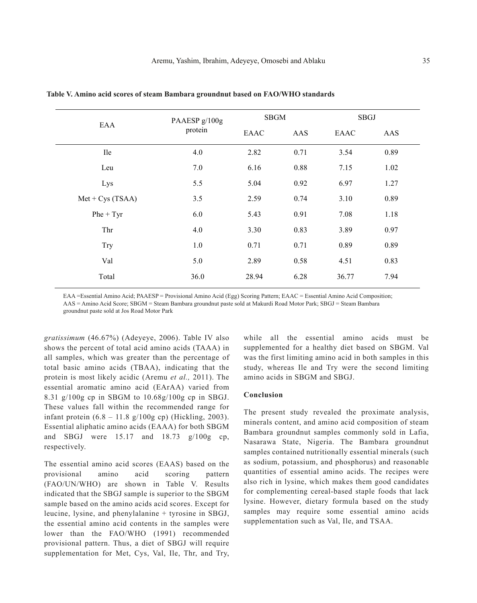| EAA                | PAAESP g/100g<br>protein | <b>SBGM</b> |      | <b>SBGJ</b> |      |
|--------------------|--------------------------|-------------|------|-------------|------|
|                    |                          | EAAC        | AAS  | EAAC        | AAS  |
| <b>Ile</b>         | 4.0                      | 2.82        | 0.71 | 3.54        | 0.89 |
| Leu                | 7.0                      | 6.16        | 0.88 | 7.15        | 1.02 |
| Lys                | 5.5                      | 5.04        | 0.92 | 6.97        | 1.27 |
| $Met + Cys (TSAA)$ | 3.5                      | 2.59        | 0.74 | 3.10        | 0.89 |
| $Phe + Tyr$        | 6.0                      | 5.43        | 0.91 | 7.08        | 1.18 |
| Thr                | 4.0                      | 3.30        | 0.83 | 3.89        | 0.97 |
| Try                | 1.0                      | 0.71        | 0.71 | 0.89        | 0.89 |
| Val                | 5.0                      | 2.89        | 0.58 | 4.51        | 0.83 |
| Total              | 36.0                     | 28.94       | 6.28 | 36.77       | 7.94 |

**Table V. Amino acid scores of steam Bambara groundnut based on FAO/WHO standards**

EAA =Essential Amino Acid; PAAESP = Provisional Amino Acid (Egg) Scoring Pattern; EAAC = Essential Amino Acid Composition; AAS = Amino Acid Score; SBGM = Steam Bambara groundnut paste sold at Makurdi Road Motor Park; SBGJ = Steam Bambara

groundnut paste sold at Jos Road Motor Park

*gratissimum* (46.67%) (Adeyeye, 2006). Table IV also shows the percent of total acid amino acids (TAAA) in all samples, which was greater than the percentage of total basic amino acids (TBAA), indicating that the protein is most likely acidic (Aremu *et al.,* 2011). The essential aromatic amino acid (EArAA) varied from 8.31 g/100g cp in SBGM to 10.68g/100g cp in SBGJ. These values fall within the recommended range for infant protein  $(6.8 - 11.8 \text{ g}/100 \text{g} \text{ cp})$  (Hickling, 2003). Essential aliphatic amino acids (EAAA) for both SBGM and SBGJ were 15.17 and 18.73 g/100g cp, respectively.

The essential amino acid scores (EAAS) based on the provisional amino acid scoring pattern (FAO/UN/WHO) are shown in Table V. Results indicated that the SBGJ sample is superior to the SBGM sample based on the amino acids acid scores. Except for leucine, lysine, and phenylalanine + tyrosine in SBGJ, the essential amino acid contents in the samples were lower than the FAO/WHO (1991) recommended provisional pattern. Thus, a diet of SBGJ will require supplementation for Met, Cys, Val, Ile, Thr, and Try,

while all the essential amino acids must be supplemented for a healthy diet based on SBGM. Val was the first limiting amino acid in both samples in this study, whereas Ile and Try were the second limiting amino acids in SBGM and SBGJ.

#### **Conclusion**

The present study revealed the proximate analysis, minerals content, and amino acid composition of steam Bambara groundnut samples commonly sold in Lafia, Nasarawa State, Nigeria. The Bambara groundnut samples contained nutritionally essential minerals (such as sodium, potassium, and phosphorus) and reasonable quantities of essential amino acids. The recipes were also rich in lysine, which makes them good candidates for complementing cereal-based staple foods that lack lysine. However, dietary formula based on the study samples may require some essential amino acids supplementation such as Val, Ile, and TSAA.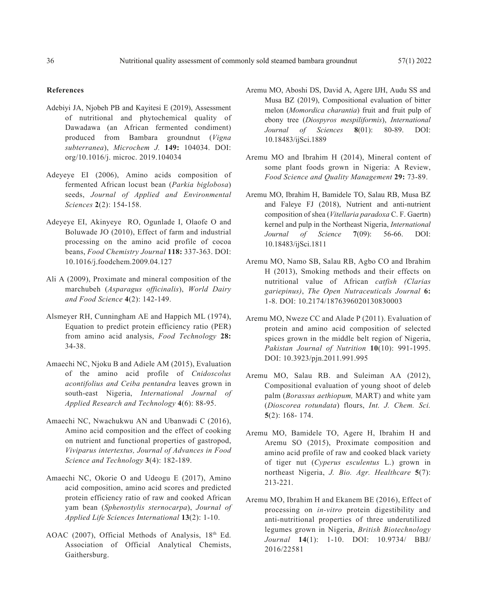#### **References**

- Adebiyi JA, Njobeh PB and Kayitesi E (2019), Assessment of nutritional and phytochemical quality of Dawadawa (an African fermented condiment) produced from Bambara groundnut (*Vigna subterranea*), *Microchem J.* **149:** 104034. DOI: org/10.1016/j. microc. 2019.104034
- Adeyeye EI (2006), Amino acids composition of fermented African locust bean (*Parkia biglobosa*) seeds, *Journal of Applied and Environmental Sciences* **2**(2): 154-158.
- Adeyeye EI, Akinyeye RO, Ogunlade I, Olaofe O and Boluwade JO (2010), Effect of farm and industrial processing on the amino acid profile of cocoa beans, *Food Chemistry Journal* **118:** 337-363. DOI: 10.1016/j.foodchem.2009.04.127
- Ali A (2009), Proximate and mineral composition of the marchubeh (*Asparagus officinalis*), *World Dairy and Food Science* **4**(2): 142-149.
- Alsmeyer RH, Cunningham AE and Happich ML (1974), Equation to predict protein efficiency ratio (PER) from amino acid analysis, *Food Technology* **28:** 34-38.
- Amaechi NC, Njoku B and Adiele AM (2015), Evaluation of the amino acid profile of *Cnidoscolus acontifolius and Ceiba pentandra* leaves grown in south-east Nigeria, *International Journal of Applied Research and Technology* **4**(6): 88-95.
- Amaechi NC, Nwachukwu AN and Ubanwadi C (2016), Amino acid composition and the effect of cooking on nutrient and functional properties of gastropod, *Viviparus intertextus, Journal of Advances in Food Science and Technology* **3**(4): 182-189.
- Amaechi NC, Okorie O and Udeogu E (2017), Amino acid composition, amino acid scores and predicted protein efficiency ratio of raw and cooked African yam bean (*Sphenostylis sternocarpa*), *Journal of Applied Life Sciences International* **13**(2): 1-10.
- AOAC (2007), Official Methods of Analysis, 18th Ed. Association of Official Analytical Chemists, Gaithersburg.
- Aremu MO, Aboshi DS, David A, Agere IJH, Audu SS and Musa BZ (2019), Compositional evaluation of bitter melon (*Momordica charantia*) fruit and fruit pulp of ebony tree (*Diospyros mespiliformis*), *International Journal of Sciences* **8**(01): 80-89. DOI: 10.18483/ijSci.1889
- Aremu MO and Ibrahim H (2014), Mineral content of some plant foods grown in Nigeria: A Review, *Food Science and Quality Management* **29:** 73-89.
- Aremu MO, Ibrahim H, Bamidele TO, Salau RB, Musa BZ and Faleye FJ (2018), Nutrient and anti-nutrient composition of shea (*Vitellaria paradoxa* C. F. Gaertn) kernel and pulp in the Northeast Nigeria, *International Journal of Science* **7**(09): 56-66. DOI: 10.18483/ijSci.1811
- Aremu MO, Namo SB, Salau RB, Agbo CO and Ibrahim H (2013), Smoking methods and their effects on nutritional value of African *catfish (Clarias gariepinus)*, *The Open Nutraceuticals Journal* **6:** 1-8. DOI: 10.2174/1876396020130830003
- Aremu MO, Nweze CC and Alade P (2011). Evaluation of protein and amino acid composition of selected spices grown in the middle belt region of Nigeria, *Pakistan Journal of Nutrition* **10**(10): 991-1995. DOI: 10.3923/pjn.2011.991.995
- Aremu MO, Salau RB. and Suleiman AA (2012), Compositional evaluation of young shoot of deleb palm (*Borassus aethiopum,* MART) and white yam (*Dioscorea rotundata*) flours, *Int. J. Chem. Sci.*  **5**(2): 168- 174.
- Aremu MO, Bamidele TO, Agere H, Ibrahim H and Aremu SO (2015), Proximate composition and amino acid profile of raw and cooked black variety of tiger nut (*Cyperus esculentus* L.) grown in northeast Nigeria, *J. Bio. Agr. Healthcare* **5**(7): 213-221.
- Aremu MO, Ibrahim H and Ekanem BE (2016), Effect of processing on *in-vitro* protein digestibility and anti-nutritional properties of three underutilized legumes grown in Nigeria, *British Biotechnology Journal* **14**(1): 1-10. DOI: 10.9734/ BBJ/ 2016/22581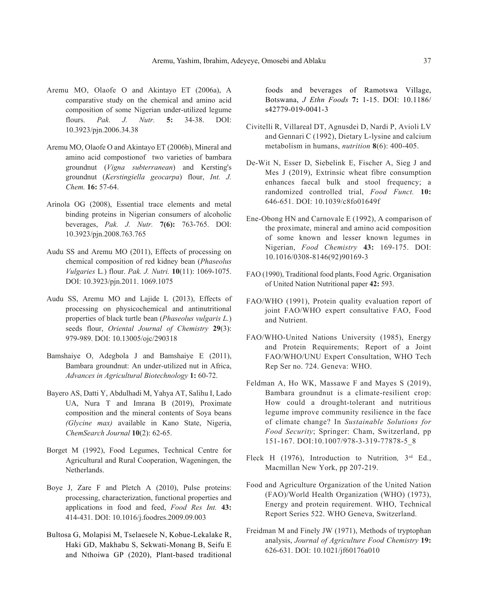- Aremu MO, Olaofe O and Akintayo ET (2006a), A comparative study on the chemical and amino acid composition of some Nigerian under-utilized legume flours. *Pak. J. Nutr.* **5:** 34-38. DOI: 10.3923/pjn.2006.34.38
- Aremu MO, Olaofe O and Akintayo ET (2006b), Mineral and amino acid compostionof two varieties of bambara groundnut (*Vigna subterranean*) and Kersting's groundnut (*Kerstingiella geocarpa*) flour, *Int. J. Chem.* **16:** 57-64.
- Arinola OG (2008), Essential trace elements and metal binding proteins in Nigerian consumers of alcoholic beverages, *Pak. J. Nutr.* **7(6):** 763-765. DOI: 10.3923/pjn.2008.763.765
- Audu SS and Aremu MO (2011), Effects of processing on chemical composition of red kidney bean (*Phaseolus Vulgaries* L*.*) flour. *Pak. J. Nutri.* **10**(11): 1069-1075. DOI: 10.3923/pjn.2011. 1069.1075
- Audu SS, Aremu MO and Lajide L (2013), Effects of processing on physicochemical and antinutritional properties of black turtle bean (*Phaseolus vulgaris L.*) seeds flour, *Oriental Journal of Chemistry* **29**(3): 979-989. DOI: 10.13005/ojc/290318
- Bamshaiye O, Adegbola J and Bamshaiye E (2011), Bambara groundnut: An under-utilized nut in Africa, *Advances in Agricultural Biotechnology* **1:** 60-72.
- Bayero AS, Datti Y, Abdulhadi M, Yahya AT, Salihu I, Lado UA, Nura T and Imrana B (2019), Proximate composition and the mineral contents of Soya beans *(Glycine max)* available in Kano State, Nigeria, *ChemSearch Journal* **10**(2): 62-65.
- Borget M (1992), Food Legumes, Technical Centre for Agricultural and Rural Cooperation, Wageningen, the Netherlands.
- Boye J, Zare F and Pletch A (2010), Pulse proteins: processing, characterization, functional properties and applications in food and feed, *Food Res Int.* **43:** 414-431. DOI: 10.1016/j.foodres.2009.09.003
- Bultosa G, Molapisi M, Tselaesele N, Kobue-Lekalake R, Haki GD, Makhabu S, Sekwati-Monang B, Seifu E and Nthoiwa GP (2020), Plant-based traditional

foods and beverages of Ramotswa Village, Botswana, *J Ethn Foods* **7:** 1-15. DOI: 10.1186/ s42779-019-0041-3

- Civitelli R, Villareal DT, Agnusdei D, Nardi P, Avioli LV and Gennari C (1992), Dietary L-lysine and calcium metabolism in humans, *nutrition* **8**(6): 400-405.
- De-Wit N, Esser D, Siebelink E, Fischer A, Sieg J and Mes J (2019), Extrinsic wheat fibre consumption enhances faecal bulk and stool frequency; a randomized controlled trial, *Food Funct.* **10:** 646-651. DOI: 10.1039/c8fo01649f
- Ene-Obong HN and Carnovale E (1992), A comparison of the proximate, mineral and amino acid composition of some known and lesser known legumes in Nigerian, *Food Chemistry* **43:** 169-175. DOI: 10.1016/0308-8146(92)90169-3
- FAO (1990), Traditional food plants, Food Agric. Organisation of United Nation Nutritional paper **42:** 593.
- FAO/WHO (1991), Protein quality evaluation report of joint FAO/WHO expert consultative FAO, Food and Nutrient.
- FAO/WHO-United Nations University (1985), Energy and Protein Requirements; Report of a Joint FAO/WHO/UNU Expert Consultation, WHO Tech Rep Ser no. 724. Geneva: WHO.
- Feldman A, Ho WK, Massawe F and Mayes S (2019), Bambara groundnut is a climate-resilient crop: How could a drought-tolerant and nutritious legume improve community resilience in the face of climate change? In *Sustainable Solutions for Food Security*; Springer: Cham, Switzerland, pp 151-167. DOI:10.1007/978-3-319-77878-5\_8
- Fleck H (1976), Introduction to Nutrition, 3<sup>rd</sup> Ed., Macmillan New York, pp 207-219.
- Food and Agriculture Organization of the United Nation (FAO)/World Health Organization (WHO) (1973), Energy and protein requirement. WHO, Technical Report Series 522. WHO Geneva, Switzerland.
- Freidman M and Finely JW (1971), Methods of tryptophan analysis, *Journal of Agriculture Food Chemistry* **19:** 626-631. DOI: 10.1021/jf60176a010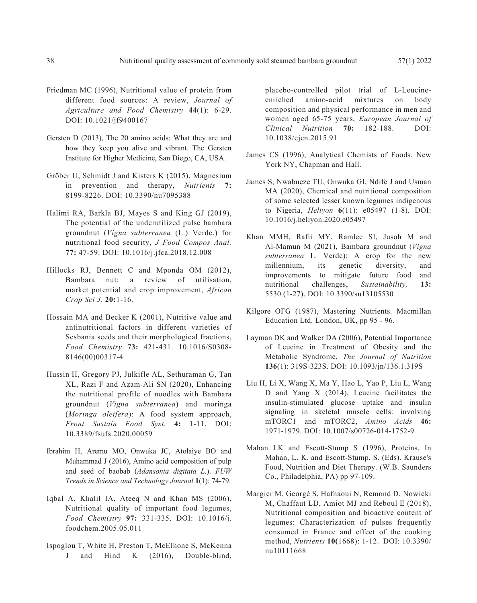- Friedman MC (1996), Nutritional value of protein from different food sources: A review, *Journal of Agriculture and Food Chemistry* **44**(1): 6-29. DOI: 10.1021/jf9400167
- Gersten D (2013), The 20 amino acids: What they are and how they keep you alive and vibrant. The Gersten Institute for Higher Medicine, San Diego, CA, USA.
- Gröber U, Schmidt J and Kisters K (2015), Magnesium in prevention and therapy, *Nutrients* **7:** 8199-8226. DOI: 10.3390/nu7095388
- Halimi RA, Barkla BJ, Mayes S and King GJ (2019), The potential of the underutilized pulse bambara groundnut (*Vigna subterranea* (L.) Verdc.) for nutritional food security, *J Food Compos Anal.*  **77:** 47-59. DOI: 10.1016/j.jfca.2018.12.008
- Hillocks RJ, Bennett C and Mponda OM (2012), Bambara nut: a review of utilisation, market potential and crop improvement, *African Crop Sci J.* **20:**1-16.
- Hossain MA and Becker K (2001), Nutritive value and antinutritional factors in different varieties of Sesbania seeds and their morphological fractions, *Food Chemistry* **73:** 421-431. 10.1016/S0308- 8146(00)00317-4
- Hussin H, Gregory PJ, Julkifle AL, Sethuraman G, Tan XL, Razi F and Azam-Ali SN (2020), Enhancing the nutritional profile of noodles with Bambara groundnut (*Vigna subterranea*) and moringa (*Moringa oleifera*): A food system approach, *Front Sustain Food Syst.* **4:** 1-11. DOI: 10.3389/fsufs.2020.00059
- Ibrahim H, Aremu MO, Onwuka JC, Atolaiye BO and Muhammad J (2016), Amino acid composition of pulp and seed of baobab (*Adansonia digitata L.*). *FUW Trends in Science and Technology Journal* **1**(1): 74-79.
- Iqbal A, Khalil IA, Ateeq N and Khan MS (2006), Nutritional quality of important food legumes, *Food Chemistry* **97:** 331-335. DOI: 10.1016/j. foodchem.2005.05.011
- Ispoglou T, White H, Preston T, McElhone S, McKenna J and Hind K (2016), Double-blind,

placebo-controlled pilot trial of L-Leucineenriched amino-acid mixtures on body composition and physical performance in men and women aged 65-75 years, *European Journal of Clinical Nutrition* **70:** 182-188. DOI: 10.1038/ejcn.2015.91

- James CS (1996), Analytical Chemists of Foods. New York NY, Chapman and Hall.
- James S, Nwabueze TU, Onwuka GI, Ndife J and Usman MA (2020), Chemical and nutritional composition of some selected lesser known legumes indigenous to Nigeria, *Heliyon* **6**(11): e05497 (1-8). DOI: 10.1016/j.heliyon.2020.e05497
- Khan MMH, Rafii MY, Ramlee SI, Jusoh M and Al-Mamun M (2021), Bambara groundnut (*Vigna subterranea* L. Verdc): A crop for the new millennium, its genetic diversity, and improvements to mitigate future food and nutritional challenges, *Sustainability,* **13:** 5530 (1-27). DOI: 10.3390/su13105530
- Kilgore OFG (1987), Mastering Nutrients. Macmillan Education Ltd. London, UK, pp 95 - 96.
- Layman DK and Walker DA (2006), Potential Importance of Leucine in Treatment of Obesity and the Metabolic Syndrome, *The Journal of Nutrition* **136**(1): 319S-323S. DOI: 10.1093/jn/136.1.319S
- Liu H, Li X, Wang X, Ma Y, Hao L, Yao P, Liu L, Wang D and Yang X (2014), Leucine facilitates the insulin-stimulated glucose uptake and insulin signaling in skeletal muscle cells: involving mTORC1 and mTORC2, *Amino Acids* **46:**  1971-1979. DOI: 10.1007/s00726-014-1752-9
- Mahan LK and Escott-Stump S (1996), Proteins. In Mahan, L. K. and Escott-Stump, S. (Eds). Krause's Food, Nutrition and Diet Therapy. (W.B. Saunders Co., Philadelphia, PA) pp 97-109.
- Margier M, Georgé S, Hafnaoui N, Remond D, Nowicki M, Chaffaut LD, Amiot MJ and Reboul E (2018), Nutritional composition and bioactive content of legumes: Characterization of pulses frequently consumed in France and effect of the cooking method, *Nutrients* **10(**1668): 1-12. DOI: 10.3390/ nu10111668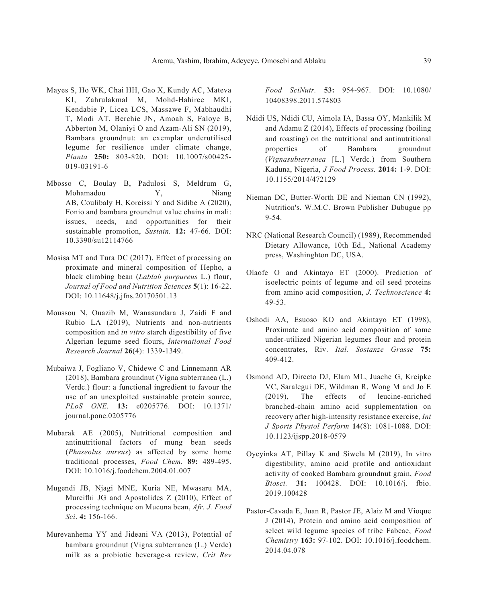- Mayes S, Ho WK, Chai HH, Gao X, Kundy AC, Mateva KI, Zahrulakmal M, Mohd-Hahiree MKI, Kendabie P, Licea LCS, Massawe F, Mabhaudhi T, Modi AT, Berchie JN, Amoah S, Faloye B, Abberton M, Olaniyi O and Azam-Ali SN (2019), Bambara groundnut: an exemplar underutilised legume for resilience under climate change, *Planta* **250:** 803-820. DOI: 10.1007/s00425- 019-03191-6
- Mbosso C, Boulay B, Padulosi S, Meldrum G, Mohamadou Y, Niang AB, Coulibaly H, Koreissi Y and Sidibe A (2020), Fonio and bambara groundnut value chains in mali: issues, needs, and opportunities for their sustainable promotion, *Sustain.* **12:** 47-66. DOI: 10.3390/su12114766
- Mosisa MT and Tura DC (2017), Effect of processing on proximate and mineral composition of Hepho, a black climbing bean (*Lablab purpureus* L.) flour, *Journal of Food and Nutrition Sciences* **5**(1): 16-22. DOI: 10.11648/j.jfns.20170501.13
- Moussou N, Ouazib M, Wanasundara J, Zaidi F and Rubio LA (2019), Nutrients and non-nutrients composition and *in vitro* starch digestibility of five Algerian legume seed flours, *International Food Research Journal* **26**(4): 1339-1349.
- Mubaiwa J, Fogliano V, Chidewe C and Linnemann AR (2018), Bambara groundnut (Vigna subterranea (L.) Verdc.) flour: a functional ingredient to favour the use of an unexploited sustainable protein source, *PLoS ONE.* **13:** e0205776. DOI: 10.1371/ journal.pone.0205776
- Mubarak AE (2005), Nutritional composition and antinutritional factors of mung bean seeds (*Phaseolus aureus*) as affected by some home traditional processes, *Food Chem.* **89:** 489-495. DOI: 10.1016/j.foodchem.2004.01.007
- Mugendi JB, Njagi MNE, Kuria NE, Mwasaru MA, Mureifhi JG and Apostolides Z (2010), Effect of processing technique on Mucuna bean, *Afr. J. Food Sci*. **4:** 156-166.
- Murevanhema YY and Jideani VA (2013), Potential of bambara groundnut (Vigna subterranea (L.) Verdc) milk as a probiotic beverage-a review, *Crit Rev*

*Food SciNutr.* **53:** 954-967. DOI: 10.1080/ 10408398.2011.574803

- Ndidi US, Ndidi CU, Aimola IA, Bassa OY, Mankilik M and Adamu Z (2014), Effects of processing (boiling and roasting) on the nutritional and antinutritional properties of Bambara groundnut (*Vignasubterranea* [L.] Verdc.) from Southern Kaduna, Nigeria, *J Food Process.* **2014:** 1-9. DOI: 10.1155/2014/472129
- Nieman DC, Butter-Worth DE and Nieman CN (1992), Nutrition's. W.M.C. Brown Publisher Dubugue pp 9-54.
- NRC (National Research Council) (1989), Recommended Dietary Allowance, 10th Ed., National Academy press, Washinghton DC, USA.
- Olaofe O and Akintayo ET (2000). Prediction of isoelectric points of legume and oil seed proteins from amino acid composition, *J. Technoscience* **4:** 49-53.
- Oshodi AA, Esuoso KO and Akintayo ET (1998), Proximate and amino acid composition of some under-utilized Nigerian legumes flour and protein concentrates, Riv. *Ital. Sostanze Grasse* **75:** 409-412.
- Osmond AD, Directo DJ, Elam ML, Juache G, Kreipke VC, Saralegui DE, Wildman R, Wong M and Jo E (2019), The effects of leucine-enriched branched-chain amino acid supplementation on recovery after high-intensity resistance exercise, *Int J Sports Physiol Perform* **14**(8): 1081-1088. DOI: 10.1123/ijspp.2018-0579
- Oyeyinka AT, Pillay K and Siwela M (2019), In vitro digestibility, amino acid profile and antioxidant activity of cooked Bambara groundnut grain, *Food Biosci.* **31:** 100428. DOI: 10.1016/j. fbio. 2019.100428
- Pastor-Cavada E, Juan R, Pastor JE, Alaiz M and Vioque J (2014), Protein and amino acid composition of select wild legume species of tribe Fabeae, *Food Chemistry* **163:** 97-102. DOI: 10.1016/j.foodchem. 2014.04.078